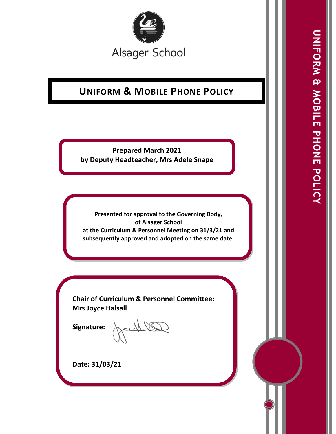

# **UNIFORM & MOBILE PHONE POLICY**

**Prepared March 2021 by Deputy Headteacher, Mrs Adele Snape**

**Presented for approval to the Governing Body, of Alsager School at the Curriculum & Personnel Meeting on 31/3/21 and subsequently approved and adopted on the same date.** 

**Chair of Curriculum & Personnel Committee: Mrs Joyce Halsall**

**Signature:** 

Authory

**Date: 31/03/21**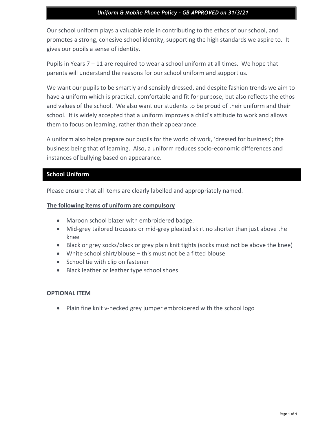### *Uniform & Mobile Phone Policy – GB APPROVED on 31/3/21*

Our school uniform plays a valuable role in contributing to the ethos of our school, and promotes a strong, cohesive school identity, supporting the high standards we aspire to. It gives our pupils a sense of identity.

Pupils in Years 7 – 11 are required to wear a school uniform at all times. We hope that parents will understand the reasons for our school uniform and support us.

We want our pupils to be smartly and sensibly dressed, and despite fashion trends we aim to have a uniform which is practical, comfortable and fit for purpose, but also reflects the ethos and values of the school. We also want our students to be proud of their uniform and their school. It is widely accepted that a uniform improves a child's attitude to work and allows them to focus on learning, rather than their appearance.

A uniform also helps prepare our pupils for the world of work, 'dressed for business'; the business being that of learning. Also, a uniform reduces socio-economic differences and instances of bullying based on appearance.

### **School Uniform**

Please ensure that all items are clearly labelled and appropriately named.

### **The following items of uniform are compulsory**

- Maroon school blazer with embroidered badge.
- Mid-grey tailored trousers or mid-grey pleated skirt no shorter than just above the knee
- Black or grey socks/black or grey plain knit tights (socks must not be above the knee)
- White school shirt/blouse this must not be a fitted blouse
- School tie with clip on fastener
- Black leather or leather type school shoes

### **OPTIONAL ITEM**

• Plain fine knit v-necked grey jumper embroidered with the school logo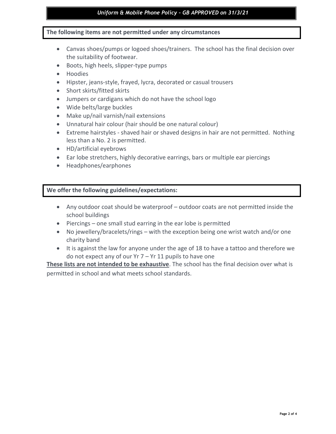### *Uniform & Mobile Phone Policy – GB APPROVED on 31/3/21*

### **The following items are not permitted under any circumstances**

- Canvas shoes/pumps or logoed shoes/trainers. The school has the final decision over the suitability of footwear.
- Boots, high heels, slipper-type pumps
- Hoodies
- Hipster, jeans-style, frayed, lycra, decorated or casual trousers
- Short skirts/fitted skirts
- Jumpers or cardigans which do not have the school logo
- Wide belts/large buckles
- Make up/nail varnish/nail extensions
- Unnatural hair colour (hair should be one natural colour)
- Extreme hairstyles shaved hair or shaved designs in hair are not permitted. Nothing less than a No. 2 is permitted.
- HD/artificial eyebrows
- Ear lobe stretchers, highly decorative earrings, bars or multiple ear piercings
- Headphones/earphones

### **We offer the following guidelines/expectations:**

- Any outdoor coat should be waterproof outdoor coats are not permitted inside the school buildings
- Piercings one small stud earring in the ear lobe is permitted
- No jewellery/bracelets/rings with the exception being one wrist watch and/or one charity band
- It is against the law for anyone under the age of 18 to have a tattoo and therefore we do not expect any of our Yr 7 – Yr 11 pupils to have one

**These lists are not intended to be exhaustive**. The school has the final decision over what is permitted in school and what meets school standards.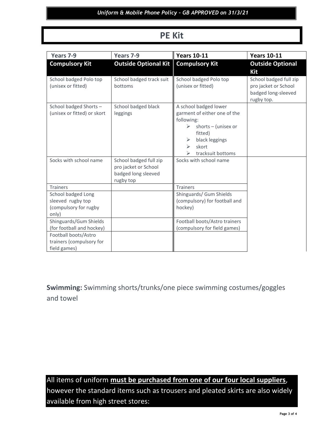# **PE Kit**

| Years 7-9                                                                                                               | Years 7-9                                                                          | <b>Years 10-11</b>                                                                                                                                                | <b>Years 10-11</b>                                                                  |
|-------------------------------------------------------------------------------------------------------------------------|------------------------------------------------------------------------------------|-------------------------------------------------------------------------------------------------------------------------------------------------------------------|-------------------------------------------------------------------------------------|
| <b>Compulsory Kit</b>                                                                                                   | <b>Outside Optional Kit</b>                                                        | <b>Compulsory Kit</b>                                                                                                                                             | <b>Outside Optional</b><br>Kit                                                      |
| School badged Polo top<br>(unisex or fitted)                                                                            | School badged track suit<br>bottoms                                                | School badged Polo top<br>(unisex or fitted)                                                                                                                      | School badged full zip<br>pro jacket or School<br>badged long-sleeved<br>rugby top. |
| School badged Shorts-<br>(unisex or fitted) or skort                                                                    | School badged black<br>leggings                                                    | A school badged lower<br>garment of either one of the<br>following:<br>shorts $-$ (unisex or<br>⋗<br>fitted)<br>black leggings<br>skort<br>⋗<br>tracksuit bottoms |                                                                                     |
| Socks with school name                                                                                                  | School badged full zip<br>pro jacket or School<br>badged long sleeved<br>rugby top | Socks with school name                                                                                                                                            |                                                                                     |
| <b>Trainers</b>                                                                                                         |                                                                                    | <b>Trainers</b>                                                                                                                                                   |                                                                                     |
| School badged Long<br>sleeved rugby top<br>(compulsory for rugby<br>only)                                               |                                                                                    | Shinguards/ Gum Shields<br>(compulsory) for football and<br>hockey)                                                                                               |                                                                                     |
| Shinguards/Gum Shields<br>(for football and hockey)<br>Football boots/Astro<br>trainers (compulsory for<br>field games) |                                                                                    | Football boots/Astro trainers<br>(compulsory for field games)                                                                                                     |                                                                                     |

**Swimming:** Swimming shorts/trunks/one piece swimming costumes/goggles and towel

All items of uniform **must be purchased from one of our four local suppliers**, however the standard items such as trousers and pleated skirts are also widely available from high street stores: